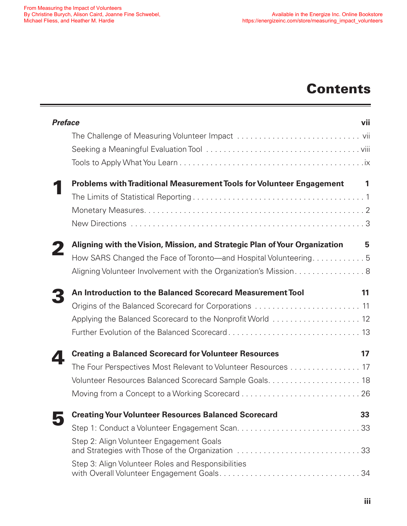## **Contents**

| <b>Preface</b> |                                                                                              | vii |
|----------------|----------------------------------------------------------------------------------------------|-----|
|                |                                                                                              |     |
|                |                                                                                              |     |
|                |                                                                                              |     |
|                | Problems with Traditional Measurement Tools for Volunteer Engagement                         | 1   |
|                |                                                                                              |     |
|                |                                                                                              |     |
|                |                                                                                              |     |
|                | Aligning with the Vision, Mission, and Strategic Plan of Your Organization                   | 5   |
|                | How SARS Changed the Face of Toronto—and Hospital Volunteering5                              |     |
|                | Aligning Volunteer Involvement with the Organization's Mission8                              |     |
|                | An Introduction to the Balanced Scorecard Measurement Tool                                   | 11  |
|                |                                                                                              |     |
|                |                                                                                              |     |
|                |                                                                                              |     |
|                | <b>Creating a Balanced Scorecard for Volunteer Resources</b>                                 | 17  |
|                | The Four Perspectives Most Relevant to Volunteer Resources 17                                |     |
|                | Volunteer Resources Balanced Scorecard Sample Goals 18                                       |     |
|                |                                                                                              |     |
|                | <b>Creating Your Volunteer Resources Balanced Scorecard</b>                                  | 33  |
|                |                                                                                              |     |
|                | Step 2: Align Volunteer Engagement Goals<br>and Strategies with Those of the Organization 33 |     |
|                | Step 3: Align Volunteer Roles and Responsibilities                                           |     |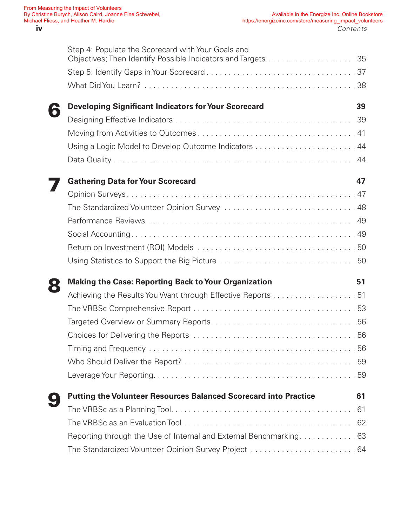|   | Step 4: Populate the Scorecard with Your Goals and                      |    |
|---|-------------------------------------------------------------------------|----|
|   |                                                                         |    |
|   |                                                                         |    |
| 6 | <b>Developing Significant Indicators for Your Scorecard</b>             | 39 |
|   |                                                                         |    |
|   |                                                                         |    |
|   | Using a Logic Model to Develop Outcome Indicators  44                   |    |
|   |                                                                         |    |
|   | <b>Gathering Data for Your Scorecard</b>                                | 47 |
|   |                                                                         |    |
|   |                                                                         |    |
|   |                                                                         |    |
|   |                                                                         |    |
|   |                                                                         |    |
|   |                                                                         |    |
|   |                                                                         |    |
|   | <b>Making the Case: Reporting Back to Your Organization</b>             | 51 |
|   | Achieving the Results You Want through Effective Reports 51             |    |
|   |                                                                         |    |
|   |                                                                         |    |
|   |                                                                         |    |
|   |                                                                         |    |
|   |                                                                         |    |
|   |                                                                         |    |
|   | <b>Putting the Volunteer Resources Balanced Scorecard into Practice</b> | 61 |
|   |                                                                         |    |
|   |                                                                         |    |
|   | Reporting through the Use of Internal and External Benchmarking 63      |    |